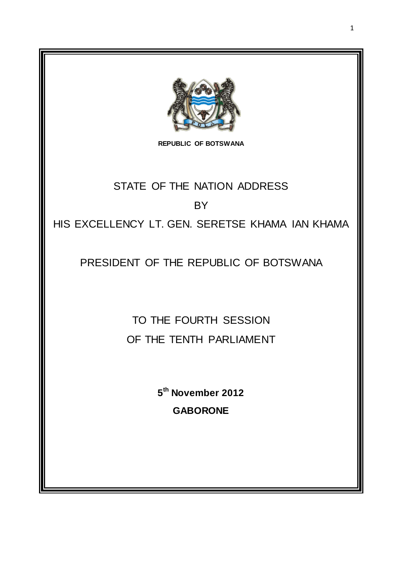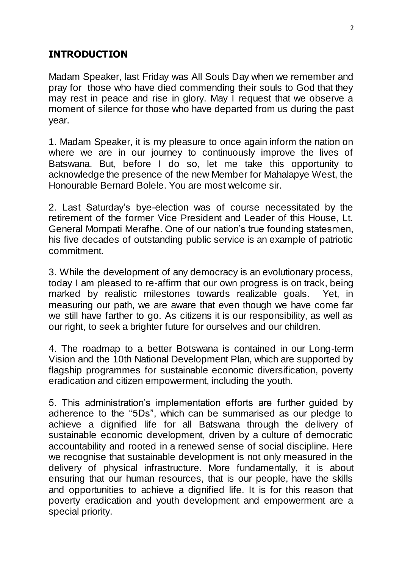# **INTRODUCTION**

Madam Speaker, last Friday was All Souls Day when we remember and pray for those who have died commending their souls to God that they may rest in peace and rise in glory. May I request that we observe a moment of silence for those who have departed from us during the past year.

1. Madam Speaker, it is my pleasure to once again inform the nation on where we are in our journey to continuously improve the lives of Batswana. But, before I do so, let me take this opportunity to acknowledge the presence of the new Member for Mahalapye West, the Honourable Bernard Bolele. You are most welcome sir.

2. Last Saturday"s bye-election was of course necessitated by the retirement of the former Vice President and Leader of this House, Lt. General Mompati Merafhe. One of our nation"s true founding statesmen, his five decades of outstanding public service is an example of patriotic commitment.

3. While the development of any democracy is an evolutionary process, today I am pleased to re-affirm that our own progress is on track, being marked by realistic milestones towards realizable goals. Yet, in measuring our path, we are aware that even though we have come far we still have farther to go. As citizens it is our responsibility, as well as our right, to seek a brighter future for ourselves and our children.

4. The roadmap to a better Botswana is contained in our Long-term Vision and the 10th National Development Plan, which are supported by flagship programmes for sustainable economic diversification, poverty eradication and citizen empowerment, including the youth.

5. This administration"s implementation efforts are further guided by adherence to the "5Ds", which can be summarised as our pledge to achieve a dignified life for all Batswana through the delivery of sustainable economic development, driven by a culture of democratic accountability and rooted in a renewed sense of social discipline. Here we recognise that sustainable development is not only measured in the delivery of physical infrastructure. More fundamentally, it is about ensuring that our human resources, that is our people, have the skills and opportunities to achieve a dignified life. It is for this reason that poverty eradication and youth development and empowerment are a special priority.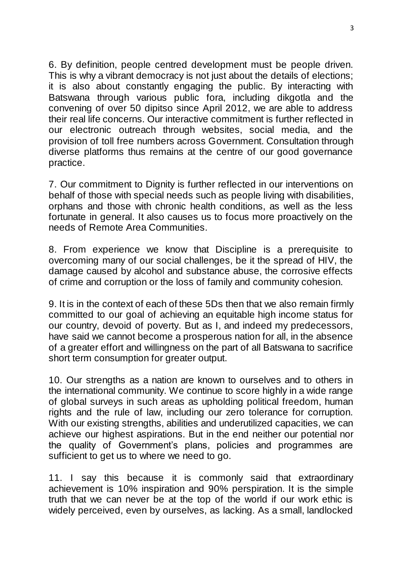6. By definition, people centred development must be people driven. This is why a vibrant democracy is not just about the details of elections; it is also about constantly engaging the public. By interacting with Batswana through various public fora, including dikgotla and the convening of over 50 dipitso since April 2012, we are able to address their real life concerns. Our interactive commitment is further reflected in our electronic outreach through websites, social media, and the provision of toll free numbers across Government. Consultation through diverse platforms thus remains at the centre of our good governance practice.

7. Our commitment to Dignity is further reflected in our interventions on behalf of those with special needs such as people living with disabilities, orphans and those with chronic health conditions, as well as the less fortunate in general. It also causes us to focus more proactively on the needs of Remote Area Communities.

8. From experience we know that Discipline is a prerequisite to overcoming many of our social challenges, be it the spread of HIV, the damage caused by alcohol and substance abuse, the corrosive effects of crime and corruption or the loss of family and community cohesion.

9. It is in the context of each of these 5Ds then that we also remain firmly committed to our goal of achieving an equitable high income status for our country, devoid of poverty. But as I, and indeed my predecessors, have said we cannot become a prosperous nation for all, in the absence of a greater effort and willingness on the part of all Batswana to sacrifice short term consumption for greater output.

10. Our strengths as a nation are known to ourselves and to others in the international community. We continue to score highly in a wide range of global surveys in such areas as upholding political freedom, human rights and the rule of law, including our zero tolerance for corruption. With our existing strengths, abilities and underutilized capacities, we can achieve our highest aspirations. But in the end neither our potential nor the quality of Government's plans, policies and programmes are sufficient to get us to where we need to go.

11. I say this because it is commonly said that extraordinary achievement is 10% inspiration and 90% perspiration. It is the simple truth that we can never be at the top of the world if our work ethic is widely perceived, even by ourselves, as lacking. As a small, landlocked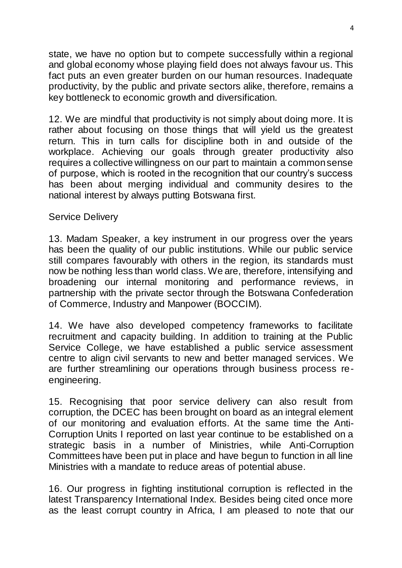state, we have no option but to compete successfully within a regional and global economy whose playing field does not always favour us. This fact puts an even greater burden on our human resources. Inadequate productivity, by the public and private sectors alike, therefore, remains a key bottleneck to economic growth and diversification.

12. We are mindful that productivity is not simply about doing more. It is rather about focusing on those things that will yield us the greatest return. This in turn calls for discipline both in and outside of the workplace. Achieving our goals through greater productivity also requires a collective willingness on our part to maintain a common sense of purpose, which is rooted in the recognition that our country"s success has been about merging individual and community desires to the national interest by always putting Botswana first.

#### Service Delivery

13. Madam Speaker, a key instrument in our progress over the years has been the quality of our public institutions. While our public service still compares favourably with others in the region, its standards must now be nothing less than world class. We are, therefore, intensifying and broadening our internal monitoring and performance reviews, in partnership with the private sector through the Botswana Confederation of Commerce, Industry and Manpower (BOCCIM).

14. We have also developed competency frameworks to facilitate recruitment and capacity building. In addition to training at the Public Service College, we have established a public service assessment centre to align civil servants to new and better managed services. We are further streamlining our operations through business process reengineering.

15. Recognising that poor service delivery can also result from corruption, the DCEC has been brought on board as an integral element of our monitoring and evaluation efforts. At the same time the Anti-Corruption Units I reported on last year continue to be established on a strategic basis in a number of Ministries, while Anti-Corruption Committees have been put in place and have begun to function in all line Ministries with a mandate to reduce areas of potential abuse.

16. Our progress in fighting institutional corruption is reflected in the latest Transparency International Index. Besides being cited once more as the least corrupt country in Africa, I am pleased to note that our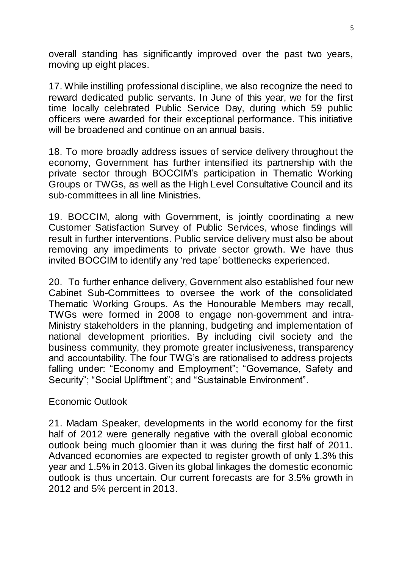overall standing has significantly improved over the past two years, moving up eight places.

17. While instilling professional discipline, we also recognize the need to reward dedicated public servants. In June of this year, we for the first time locally celebrated Public Service Day, during which 59 public officers were awarded for their exceptional performance. This initiative will be broadened and continue on an annual basis.

18. To more broadly address issues of service delivery throughout the economy, Government has further intensified its partnership with the private sector through BOCCIM"s participation in Thematic Working Groups or TWGs, as well as the High Level Consultative Council and its sub-committees in all line Ministries.

19. BOCCIM, along with Government, is jointly coordinating a new Customer Satisfaction Survey of Public Services, whose findings will result in further interventions. Public service delivery must also be about removing any impediments to private sector growth. We have thus invited BOCCIM to identify any "red tape" bottlenecks experienced.

20. To further enhance delivery, Government also established four new Cabinet Sub-Committees to oversee the work of the consolidated Thematic Working Groups. As the Honourable Members may recall, TWGs were formed in 2008 to engage non-government and intra-Ministry stakeholders in the planning, budgeting and implementation of national development priorities. By including civil society and the business community, they promote greater inclusiveness, transparency and accountability. The four TWG's are rationalised to address projects falling under: "Economy and Employment"; "Governance, Safety and Security"; "Social Upliftment"; and "Sustainable Environment".

Economic Outlook

21. Madam Speaker, developments in the world economy for the first half of 2012 were generally negative with the overall global economic outlook being much gloomier than it was during the first half of 2011. Advanced economies are expected to register growth of only 1.3% this year and 1.5% in 2013. Given its global linkages the domestic economic outlook is thus uncertain. Our current forecasts are for 3.5% growth in 2012 and 5% percent in 2013.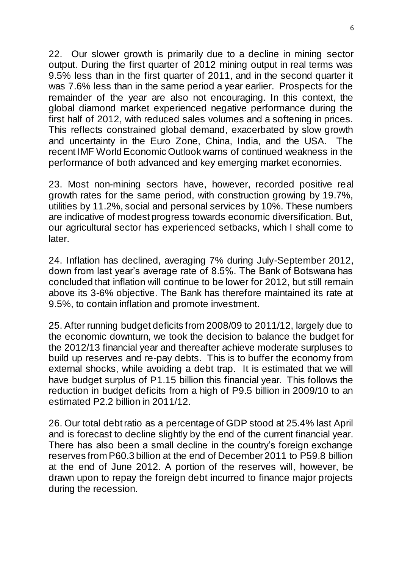22. Our slower growth is primarily due to a decline in mining sector output. During the first quarter of 2012 mining output in real terms was 9.5% less than in the first quarter of 2011, and in the second quarter it was 7.6% less than in the same period a year earlier. Prospects for the remainder of the year are also not encouraging. In this context, the global diamond market experienced negative performance during the first half of 2012, with reduced sales volumes and a softening in prices. This reflects constrained global demand, exacerbated by slow growth and uncertainty in the Euro Zone, China, India, and the USA. The recent IMF World Economic Outlook warns of continued weakness in the performance of both advanced and key emerging market economies.

23. Most non-mining sectors have, however, recorded positive real growth rates for the same period, with construction growing by 19.7%, utilities by 11.2%, social and personal services by 10%. These numbers are indicative of modest progress towards economic diversification. But, our agricultural sector has experienced setbacks, which I shall come to later.

24. Inflation has declined, averaging 7% during July-September 2012, down from last year"s average rate of 8.5%. The Bank of Botswana has concluded that inflation will continue to be lower for 2012, but still remain above its 3-6% objective. The Bank has therefore maintained its rate at 9.5%, to contain inflation and promote investment.

25. After running budget deficits from 2008/09 to 2011/12, largely due to the economic downturn, we took the decision to balance the budget for the 2012/13 financial year and thereafter achieve moderate surpluses to build up reserves and re-pay debts. This is to buffer the economy from external shocks, while avoiding a debt trap. It is estimated that we will have budget surplus of P1.15 billion this financial year. This follows the reduction in budget deficits from a high of P9.5 billion in 2009/10 to an estimated P2.2 billion in 2011/12.

26. Our total debt ratio as a percentage of GDP stood at 25.4% last April and is forecast to decline slightly by the end of the current financial year. There has also been a small decline in the country"s foreign exchange reserves from P60.3 billion at the end of December 2011 to P59.8 billion at the end of June 2012. A portion of the reserves will, however, be drawn upon to repay the foreign debt incurred to finance major projects during the recession.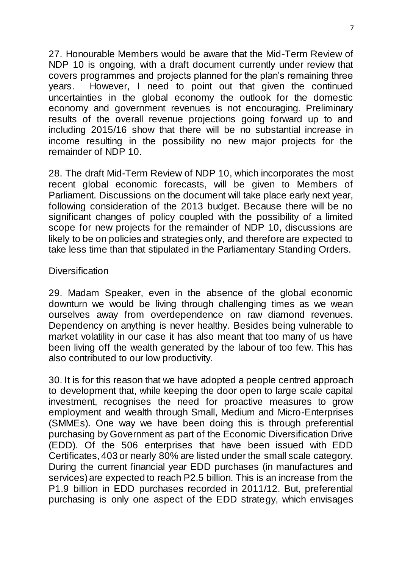27. Honourable Members would be aware that the Mid-Term Review of NDP 10 is ongoing, with a draft document currently under review that covers programmes and projects planned for the plan"s remaining three years. However, I need to point out that given the continued uncertainties in the global economy the outlook for the domestic economy and government revenues is not encouraging. Preliminary results of the overall revenue projections going forward up to and including 2015/16 show that there will be no substantial increase in income resulting in the possibility no new major projects for the remainder of NDP 10.

28. The draft Mid-Term Review of NDP 10, which incorporates the most recent global economic forecasts, will be given to Members of Parliament. Discussions on the document will take place early next year, following consideration of the 2013 budget. Because there will be no significant changes of policy coupled with the possibility of a limited scope for new projects for the remainder of NDP 10, discussions are likely to be on policies and strategies only, and therefore are expected to take less time than that stipulated in the Parliamentary Standing Orders.

#### **Diversification**

29. Madam Speaker, even in the absence of the global economic downturn we would be living through challenging times as we wean ourselves away from overdependence on raw diamond revenues. Dependency on anything is never healthy. Besides being vulnerable to market volatility in our case it has also meant that too many of us have been living off the wealth generated by the labour of too few. This has also contributed to our low productivity.

30. It is for this reason that we have adopted a people centred approach to development that, while keeping the door open to large scale capital investment, recognises the need for proactive measures to grow employment and wealth through Small, Medium and Micro-Enterprises (SMMEs). One way we have been doing this is through preferential purchasing by Government as part of the Economic Diversification Drive (EDD). Of the 506 enterprises that have been issued with EDD Certificates, 403 or nearly 80% are listed under the small scale category. During the current financial year EDD purchases (in manufactures and services) are expected to reach P2.5 billion. This is an increase from the P1.9 billion in EDD purchases recorded in 2011/12. But, preferential purchasing is only one aspect of the EDD strategy, which envisages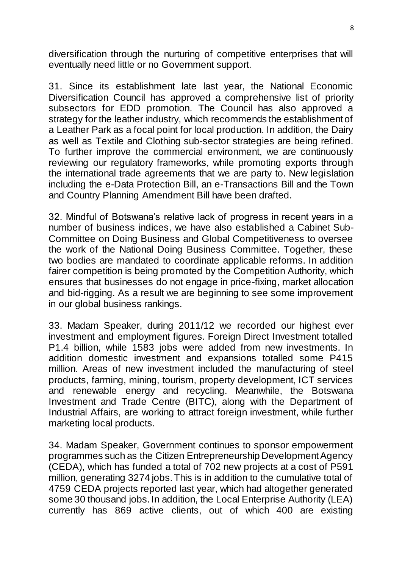diversification through the nurturing of competitive enterprises that will eventually need little or no Government support.

31. Since its establishment late last year, the National Economic Diversification Council has approved a comprehensive list of priority subsectors for EDD promotion. The Council has also approved a strategy for the leather industry, which recommends the establishment of a Leather Park as a focal point for local production. In addition, the Dairy as well as Textile and Clothing sub-sector strategies are being refined. To further improve the commercial environment, we are continuously reviewing our regulatory frameworks, while promoting exports through the international trade agreements that we are party to. New legislation including the e-Data Protection Bill, an e-Transactions Bill and the Town and Country Planning Amendment Bill have been drafted.

32. Mindful of Botswana"s relative lack of progress in recent years in a number of business indices, we have also established a Cabinet Sub-Committee on Doing Business and Global Competitiveness to oversee the work of the National Doing Business Committee. Together, these two bodies are mandated to coordinate applicable reforms. In addition fairer competition is being promoted by the Competition Authority, which ensures that businesses do not engage in price-fixing, market allocation and bid-rigging. As a result we are beginning to see some improvement in our global business rankings.

33. Madam Speaker, during 2011/12 we recorded our highest ever investment and employment figures. Foreign Direct Investment totalled P1.4 billion, while 1583 jobs were added from new investments. In addition domestic investment and expansions totalled some P415 million. Areas of new investment included the manufacturing of steel products, farming, mining, tourism, property development, ICT services and renewable energy and recycling. Meanwhile, the Botswana Investment and Trade Centre (BITC), along with the Department of Industrial Affairs, are working to attract foreign investment, while further marketing local products.

34. Madam Speaker, Government continues to sponsor empowerment programmes such as the Citizen Entrepreneurship Development Agency (CEDA), which has funded a total of 702 new projects at a cost of P591 million, generating 3274 jobs. This is in addition to the cumulative total of 4759 CEDA projects reported last year, which had altogether generated some 30 thousand jobs. In addition, the Local Enterprise Authority (LEA) currently has 869 active clients, out of which 400 are existing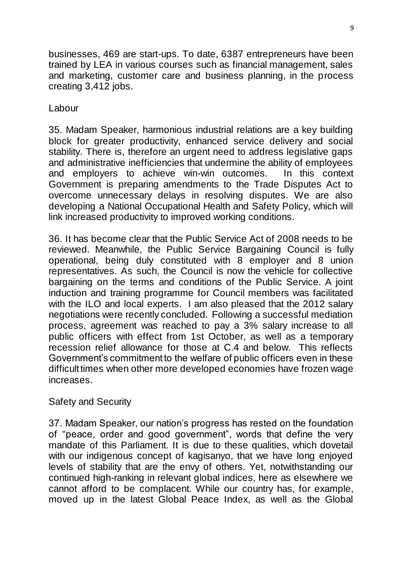businesses, 469 are start-ups. To date, 6387 entrepreneurs have been trained by LEA in various courses such as financial management, sales and marketing, customer care and business planning, in the process creating 3,412 jobs.

Labour

35. Madam Speaker, harmonious industrial relations are a key building block for greater productivity, enhanced service delivery and social stability. There is, therefore an urgent need to address legislative gaps and administrative inefficiencies that undermine the ability of employees and employers to achieve win-win outcomes. In this context Government is preparing amendments to the Trade Disputes Act to overcome unnecessary delays in resolving disputes. We are also developing a National Occupational Health and Safety Policy, which will link increased productivity to improved working conditions.

36. It has become clear that the Public Service Act of 2008 needs to be reviewed. Meanwhile, the Public Service Bargaining Council is fully operational, being duly constituted with 8 employer and 8 union representatives. As such, the Council is now the vehicle for collective bargaining on the terms and conditions of the Public Service. A joint induction and training programme for Council members was facilitated with the ILO and local experts. I am also pleased that the 2012 salary negotiations were recently concluded. Following a successful mediation process, agreement was reached to pay a 3% salary increase to all public officers with effect from 1st October, as well as a temporary recession relief allowance for those at C.4 and below. This reflects Government"s commitment to the welfare of public officers even in these difficult times when other more developed economies have frozen wage increases.

Safety and Security

37. Madam Speaker, our nation"s progress has rested on the foundation of "peace, order and good government", words that define the very mandate of this Parliament. It is due to these qualities, which dovetail with our indigenous concept of kagisanyo, that we have long enjoyed levels of stability that are the envy of others. Yet, notwithstanding our continued high-ranking in relevant global indices, here as elsewhere we cannot afford to be complacent. While our country has, for example, moved up in the latest Global Peace Index, as well as the Global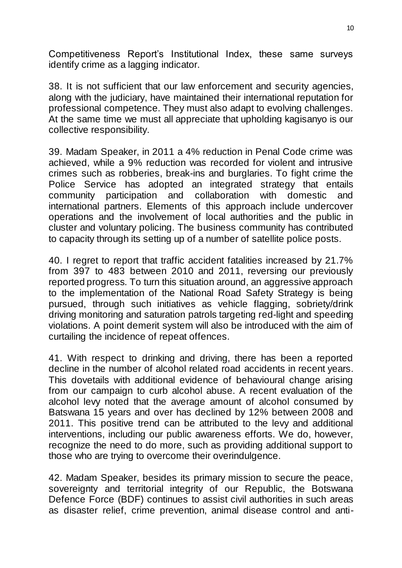Competitiveness Report's Institutional Index, these same surveys identify crime as a lagging indicator.

38. It is not sufficient that our law enforcement and security agencies, along with the judiciary, have maintained their international reputation for professional competence. They must also adapt to evolving challenges. At the same time we must all appreciate that upholding kagisanyo is our collective responsibility.

39. Madam Speaker, in 2011 a 4% reduction in Penal Code crime was achieved, while a 9% reduction was recorded for violent and intrusive crimes such as robberies, break-ins and burglaries. To fight crime the Police Service has adopted an integrated strategy that entails community participation and collaboration with domestic and international partners. Elements of this approach include undercover operations and the involvement of local authorities and the public in cluster and voluntary policing. The business community has contributed to capacity through its setting up of a number of satellite police posts.

40. I regret to report that traffic accident fatalities increased by 21.7% from 397 to 483 between 2010 and 2011, reversing our previously reported progress. To turn this situation around, an aggressive approach to the implementation of the National Road Safety Strategy is being pursued, through such initiatives as vehicle flagging, sobriety/drink driving monitoring and saturation patrols targeting red-light and speeding violations. A point demerit system will also be introduced with the aim of curtailing the incidence of repeat offences.

41. With respect to drinking and driving, there has been a reported decline in the number of alcohol related road accidents in recent years. This dovetails with additional evidence of behavioural change arising from our campaign to curb alcohol abuse. A recent evaluation of the alcohol levy noted that the average amount of alcohol consumed by Batswana 15 years and over has declined by 12% between 2008 and 2011. This positive trend can be attributed to the levy and additional interventions, including our public awareness efforts. We do, however, recognize the need to do more, such as providing additional support to those who are trying to overcome their overindulgence.

42. Madam Speaker, besides its primary mission to secure the peace, sovereignty and territorial integrity of our Republic, the Botswana Defence Force (BDF) continues to assist civil authorities in such areas as disaster relief, crime prevention, animal disease control and anti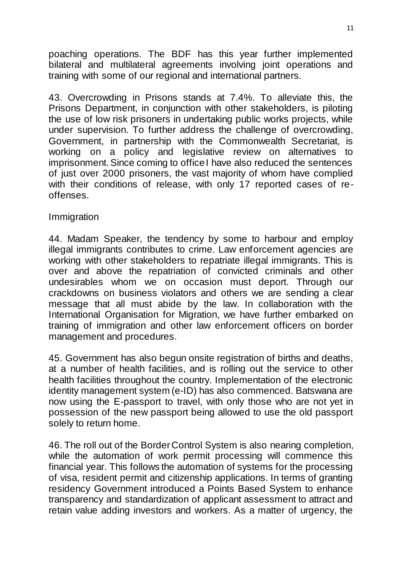poaching operations. The BDF has this year further implemented bilateral and multilateral agreements involving joint operations and training with some of our regional and international partners.

43. Overcrowding in Prisons stands at 7.4%. To alleviate this, the Prisons Department, in conjunction with other stakeholders, is piloting the use of low risk prisoners in undertaking public works projects, while under supervision. To further address the challenge of overcrowding, Government, in partnership with the Commonwealth Secretariat, is working on a policy and legislative review on alternatives to imprisonment. Since coming to office I have also reduced the sentences of just over 2000 prisoners, the vast majority of whom have complied with their conditions of release, with only 17 reported cases of reoffenses.

#### Immigration

44. Madam Speaker, the tendency by some to harbour and employ illegal immigrants contributes to crime. Law enforcement agencies are working with other stakeholders to repatriate illegal immigrants. This is over and above the repatriation of convicted criminals and other undesirables whom we on occasion must deport. Through our crackdowns on business violators and others we are sending a clear message that all must abide by the law. In collaboration with the International Organisation for Migration, we have further embarked on training of immigration and other law enforcement officers on border management and procedures.

45. Government has also begun onsite registration of births and deaths, at a number of health facilities, and is rolling out the service to other health facilities throughout the country. Implementation of the electronic identity management system (e-ID) has also commenced. Batswana are now using the E-passport to travel, with only those who are not yet in possession of the new passport being allowed to use the old passport solely to return home.

46. The roll out of the Border Control System is also nearing completion, while the automation of work permit processing will commence this financial year. This follows the automation of systems for the processing of visa, resident permit and citizenship applications. In terms of granting residency Government introduced a Points Based System to enhance transparency and standardization of applicant assessment to attract and retain value adding investors and workers. As a matter of urgency, the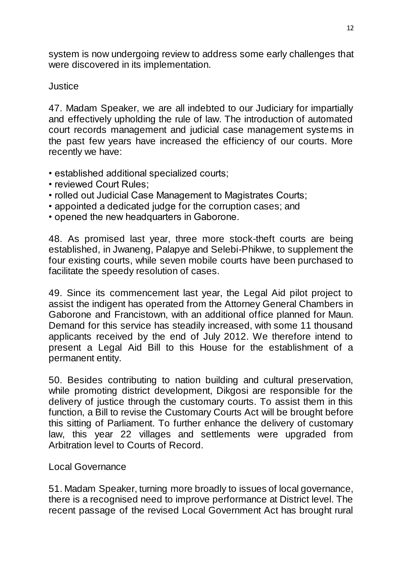system is now undergoing review to address some early challenges that were discovered in its implementation.

### **Justice**

47. Madam Speaker, we are all indebted to our Judiciary for impartially and effectively upholding the rule of law. The introduction of automated court records management and judicial case management systems in the past few years have increased the efficiency of our courts. More recently we have:

- established additional specialized courts;
- reviewed Court Rules;
- rolled out Judicial Case Management to Magistrates Courts;
- appointed a dedicated judge for the corruption cases; and
- opened the new headquarters in Gaborone.

48. As promised last year, three more stock-theft courts are being established, in Jwaneng, Palapye and Selebi-Phikwe, to supplement the four existing courts, while seven mobile courts have been purchased to facilitate the speedy resolution of cases.

49. Since its commencement last year, the Legal Aid pilot project to assist the indigent has operated from the Attorney General Chambers in Gaborone and Francistown, with an additional office planned for Maun. Demand for this service has steadily increased, with some 11 thousand applicants received by the end of July 2012. We therefore intend to present a Legal Aid Bill to this House for the establishment of a permanent entity.

50. Besides contributing to nation building and cultural preservation, while promoting district development, Dikgosi are responsible for the delivery of justice through the customary courts. To assist them in this function, a Bill to revise the Customary Courts Act will be brought before this sitting of Parliament. To further enhance the delivery of customary law, this year 22 villages and settlements were upgraded from Arbitration level to Courts of Record.

Local Governance

51. Madam Speaker, turning more broadly to issues of local governance, there is a recognised need to improve performance at District level. The recent passage of the revised Local Government Act has brought rural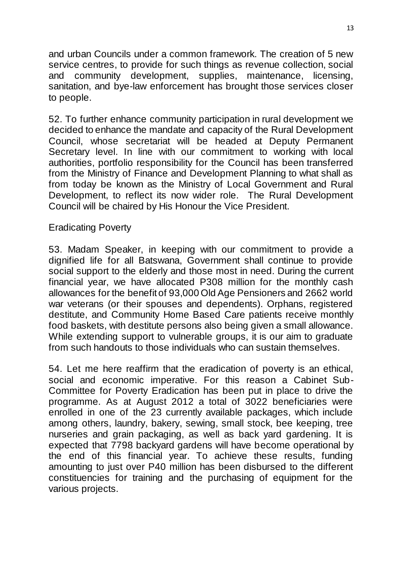and urban Councils under a common framework. The creation of 5 new service centres, to provide for such things as revenue collection, social and community development, supplies, maintenance, licensing, sanitation, and bye-law enforcement has brought those services closer to people.

52. To further enhance community participation in rural development we decided to enhance the mandate and capacity of the Rural Development Council, whose secretariat will be headed at Deputy Permanent Secretary level. In line with our commitment to working with local authorities, portfolio responsibility for the Council has been transferred from the Ministry of Finance and Development Planning to what shall as from today be known as the Ministry of Local Government and Rural Development, to reflect its now wider role. The Rural Development Council will be chaired by His Honour the Vice President.

### Eradicating Poverty

53. Madam Speaker, in keeping with our commitment to provide a dignified life for all Batswana, Government shall continue to provide social support to the elderly and those most in need. During the current financial year, we have allocated P308 million for the monthly cash allowances for the benefit of 93,000 Old Age Pensioners and 2662 world war veterans (or their spouses and dependents). Orphans, registered destitute, and Community Home Based Care patients receive monthly food baskets, with destitute persons also being given a small allowance. While extending support to vulnerable groups, it is our aim to graduate from such handouts to those individuals who can sustain themselves.

54. Let me here reaffirm that the eradication of poverty is an ethical, social and economic imperative. For this reason a Cabinet Sub-Committee for Poverty Eradication has been put in place to drive the programme. As at August 2012 a total of 3022 beneficiaries were enrolled in one of the 23 currently available packages, which include among others, laundry, bakery, sewing, small stock, bee keeping, tree nurseries and grain packaging, as well as back yard gardening. It is expected that 7798 backyard gardens will have become operational by the end of this financial year. To achieve these results, funding amounting to just over P40 million has been disbursed to the different constituencies for training and the purchasing of equipment for the various projects.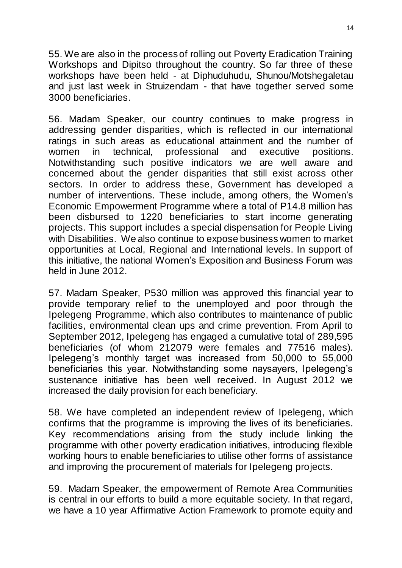55. We are also in the process of rolling out Poverty Eradication Training Workshops and Dipitso throughout the country. So far three of these workshops have been held - at Diphuduhudu, Shunou/Motshegaletau and just last week in Struizendam - that have together served some 3000 beneficiaries.

56. Madam Speaker, our country continues to make progress in addressing gender disparities, which is reflected in our international ratings in such areas as educational attainment and the number of women in technical, professional and executive positions. Notwithstanding such positive indicators we are well aware and concerned about the gender disparities that still exist across other sectors. In order to address these, Government has developed a number of interventions. These include, among others, the Women"s Economic Empowerment Programme where a total of P14.8 million has been disbursed to 1220 beneficiaries to start income generating projects. This support includes a special dispensation for People Living with Disabilities. We also continue to expose business women to market opportunities at Local, Regional and International levels. In support of this initiative, the national Women"s Exposition and Business Forum was held in June 2012.

57. Madam Speaker, P530 million was approved this financial year to provide temporary relief to the unemployed and poor through the Ipelegeng Programme, which also contributes to maintenance of public facilities, environmental clean ups and crime prevention. From April to September 2012, Ipelegeng has engaged a cumulative total of 289,595 beneficiaries (of whom 212079 were females and 77516 males). Ipelegeng"s monthly target was increased from 50,000 to 55,000 beneficiaries this year. Notwithstanding some naysayers, Ipelegeng"s sustenance initiative has been well received. In August 2012 we increased the daily provision for each beneficiary.

58. We have completed an independent review of Ipelegeng, which confirms that the programme is improving the lives of its beneficiaries. Key recommendations arising from the study include linking the programme with other poverty eradication initiatives, introducing flexible working hours to enable beneficiaries to utilise other forms of assistance and improving the procurement of materials for Ipelegeng projects.

59. Madam Speaker, the empowerment of Remote Area Communities is central in our efforts to build a more equitable society. In that regard, we have a 10 year Affirmative Action Framework to promote equity and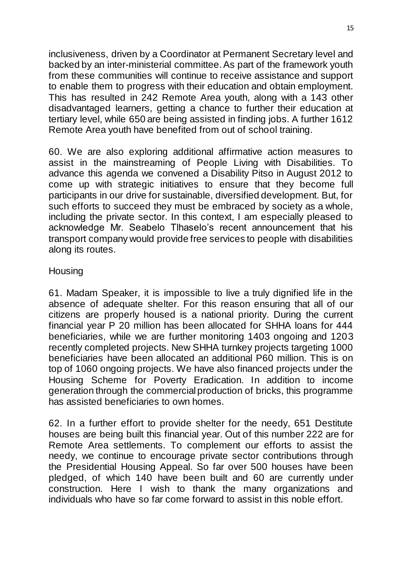inclusiveness, driven by a Coordinator at Permanent Secretary level and backed by an inter-ministerial committee. As part of the framework youth from these communities will continue to receive assistance and support to enable them to progress with their education and obtain employment. This has resulted in 242 Remote Area youth, along with a 143 other disadvantaged learners, getting a chance to further their education at tertiary level, while 650 are being assisted in finding jobs. A further 1612 Remote Area youth have benefited from out of school training.

60. We are also exploring additional affirmative action measures to assist in the mainstreaming of People Living with Disabilities. To advance this agenda we convened a Disability Pitso in August 2012 to come up with strategic initiatives to ensure that they become full participants in our drive for sustainable, diversified development. But, for such efforts to succeed they must be embraced by society as a whole, including the private sector. In this context, I am especially pleased to acknowledge Mr. Seabelo Tlhaselo"s recent announcement that his transport company would provide free services to people with disabilities along its routes.

#### **Housing**

61. Madam Speaker, it is impossible to live a truly dignified life in the absence of adequate shelter. For this reason ensuring that all of our citizens are properly housed is a national priority. During the current financial year P 20 million has been allocated for SHHA loans for 444 beneficiaries, while we are further monitoring 1403 ongoing and 1203 recently completed projects. New SHHA turnkey projects targeting 1000 beneficiaries have been allocated an additional P60 million. This is on top of 1060 ongoing projects. We have also financed projects under the Housing Scheme for Poverty Eradication. In addition to income generation through the commercial production of bricks, this programme has assisted beneficiaries to own homes.

62. In a further effort to provide shelter for the needy, 651 Destitute houses are being built this financial year. Out of this number 222 are for Remote Area settlements. To complement our efforts to assist the needy, we continue to encourage private sector contributions through the Presidential Housing Appeal. So far over 500 houses have been pledged, of which 140 have been built and 60 are currently under construction. Here I wish to thank the many organizations and individuals who have so far come forward to assist in this noble effort.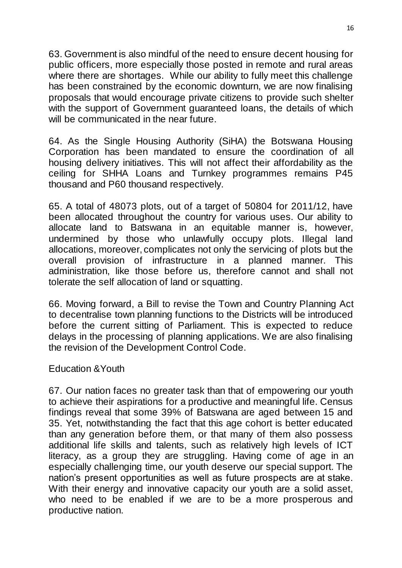63. Government is also mindful of the need to ensure decent housing for public officers, more especially those posted in remote and rural areas where there are shortages. While our ability to fully meet this challenge has been constrained by the economic downturn, we are now finalising proposals that would encourage private citizens to provide such shelter with the support of Government quaranteed loans, the details of which will be communicated in the near future.

64. As the Single Housing Authority (SiHA) the Botswana Housing Corporation has been mandated to ensure the coordination of all housing delivery initiatives. This will not affect their affordability as the ceiling for SHHA Loans and Turnkey programmes remains P45 thousand and P60 thousand respectively.

65. A total of 48073 plots, out of a target of 50804 for 2011/12, have been allocated throughout the country for various uses. Our ability to allocate land to Batswana in an equitable manner is, however, undermined by those who unlawfully occupy plots. Illegal land allocations, moreover, complicates not only the servicing of plots but the overall provision of infrastructure in a planned manner. This administration, like those before us, therefore cannot and shall not tolerate the self allocation of land or squatting.

66. Moving forward, a Bill to revise the Town and Country Planning Act to decentralise town planning functions to the Districts will be introduced before the current sitting of Parliament. This is expected to reduce delays in the processing of planning applications. We are also finalising the revision of the Development Control Code.

#### Education &Youth

67. Our nation faces no greater task than that of empowering our youth to achieve their aspirations for a productive and meaningful life. Census findings reveal that some 39% of Batswana are aged between 15 and 35. Yet, notwithstanding the fact that this age cohort is better educated than any generation before them, or that many of them also possess additional life skills and talents, such as relatively high levels of ICT literacy, as a group they are struggling. Having come of age in an especially challenging time, our youth deserve our special support. The nation"s present opportunities as well as future prospects are at stake. With their energy and innovative capacity our youth are a solid asset, who need to be enabled if we are to be a more prosperous and productive nation.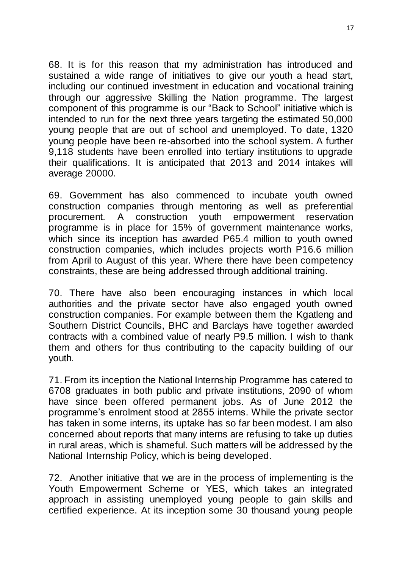68. It is for this reason that my administration has introduced and sustained a wide range of initiatives to give our youth a head start, including our continued investment in education and vocational training through our aggressive Skilling the Nation programme. The largest component of this programme is our "Back to School" initiative which is intended to run for the next three years targeting the estimated 50,000 young people that are out of school and unemployed. To date, 1320 young people have been re-absorbed into the school system. A further 9,118 students have been enrolled into tertiary institutions to upgrade their qualifications. It is anticipated that 2013 and 2014 intakes will average 20000.

69. Government has also commenced to incubate youth owned construction companies through mentoring as well as preferential procurement. A construction youth empowerment reservation programme is in place for 15% of government maintenance works, which since its inception has awarded P65.4 million to youth owned construction companies, which includes projects worth P16.6 million from April to August of this year. Where there have been competency constraints, these are being addressed through additional training.

70. There have also been encouraging instances in which local authorities and the private sector have also engaged youth owned construction companies. For example between them the Kgatleng and Southern District Councils, BHC and Barclays have together awarded contracts with a combined value of nearly P9.5 million. I wish to thank them and others for thus contributing to the capacity building of our youth.

71. From its inception the National Internship Programme has catered to 6708 graduates in both public and private institutions, 2090 of whom have since been offered permanent jobs. As of June 2012 the programme"s enrolment stood at 2855 interns. While the private sector has taken in some interns, its uptake has so far been modest. I am also concerned about reports that many interns are refusing to take up duties in rural areas, which is shameful. Such matters will be addressed by the National Internship Policy, which is being developed.

72. Another initiative that we are in the process of implementing is the Youth Empowerment Scheme or YES, which takes an integrated approach in assisting unemployed young people to gain skills and certified experience. At its inception some 30 thousand young people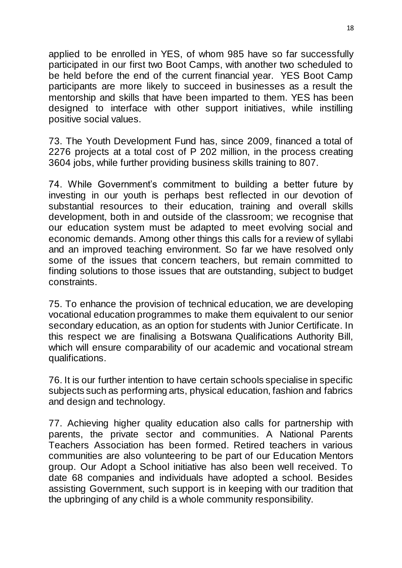applied to be enrolled in YES, of whom 985 have so far successfully participated in our first two Boot Camps, with another two scheduled to be held before the end of the current financial year. YES Boot Camp participants are more likely to succeed in businesses as a result the mentorship and skills that have been imparted to them. YES has been designed to interface with other support initiatives, while instilling positive social values.

73. The Youth Development Fund has, since 2009, financed a total of 2276 projects at a total cost of P 202 million, in the process creating 3604 jobs, while further providing business skills training to 807.

74. While Government"s commitment to building a better future by investing in our youth is perhaps best reflected in our devotion of substantial resources to their education, training and overall skills development, both in and outside of the classroom; we recognise that our education system must be adapted to meet evolving social and economic demands. Among other things this calls for a review of syllabi and an improved teaching environment. So far we have resolved only some of the issues that concern teachers, but remain committed to finding solutions to those issues that are outstanding, subject to budget constraints.

75. To enhance the provision of technical education, we are developing vocational education programmes to make them equivalent to our senior secondary education, as an option for students with Junior Certificate. In this respect we are finalising a Botswana Qualifications Authority Bill, which will ensure comparability of our academic and vocational stream qualifications.

76. It is our further intention to have certain schools specialise in specific subjects such as performing arts, physical education, fashion and fabrics and design and technology.

77. Achieving higher quality education also calls for partnership with parents, the private sector and communities. A National Parents Teachers Association has been formed. Retired teachers in various communities are also volunteering to be part of our Education Mentors group. Our Adopt a School initiative has also been well received. To date 68 companies and individuals have adopted a school. Besides assisting Government, such support is in keeping with our tradition that the upbringing of any child is a whole community responsibility.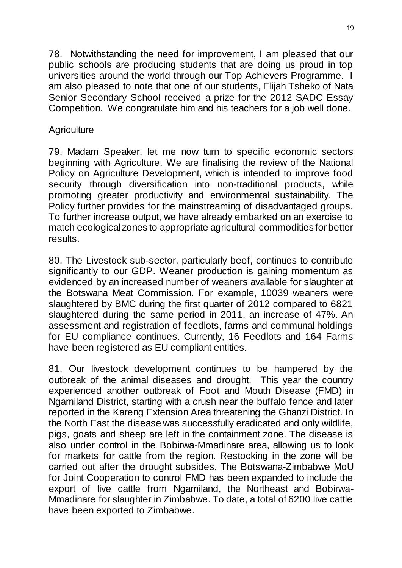78. Notwithstanding the need for improvement, I am pleased that our public schools are producing students that are doing us proud in top universities around the world through our Top Achievers Programme. I am also pleased to note that one of our students, Elijah Tsheko of Nata Senior Secondary School received a prize for the 2012 SADC Essay Competition. We congratulate him and his teachers for a job well done.

# **Agriculture**

79. Madam Speaker, let me now turn to specific economic sectors beginning with Agriculture. We are finalising the review of the National Policy on Agriculture Development, which is intended to improve food security through diversification into non-traditional products, while promoting greater productivity and environmental sustainability. The Policy further provides for the mainstreaming of disadvantaged groups. To further increase output, we have already embarked on an exercise to match ecological zones to appropriate agricultural commodities for better results.

80. The Livestock sub-sector, particularly beef, continues to contribute significantly to our GDP. Weaner production is gaining momentum as evidenced by an increased number of weaners available for slaughter at the Botswana Meat Commission. For example, 10039 weaners were slaughtered by BMC during the first quarter of 2012 compared to 6821 slaughtered during the same period in 2011, an increase of 47%. An assessment and registration of feedlots, farms and communal holdings for EU compliance continues. Currently, 16 Feedlots and 164 Farms have been registered as EU compliant entities.

81. Our livestock development continues to be hampered by the outbreak of the animal diseases and drought. This year the country experienced another outbreak of Foot and Mouth Disease (FMD) in Ngamiland District, starting with a crush near the buffalo fence and later reported in the Kareng Extension Area threatening the Ghanzi District. In the North East the disease was successfully eradicated and only wildlife, pigs, goats and sheep are left in the containment zone. The disease is also under control in the Bobirwa-Mmadinare area, allowing us to look for markets for cattle from the region. Restocking in the zone will be carried out after the drought subsides. The Botswana-Zimbabwe MoU for Joint Cooperation to control FMD has been expanded to include the export of live cattle from Ngamiland, the Northeast and Bobirwa-Mmadinare for slaughter in Zimbabwe. To date, a total of 6200 live cattle have been exported to Zimbabwe.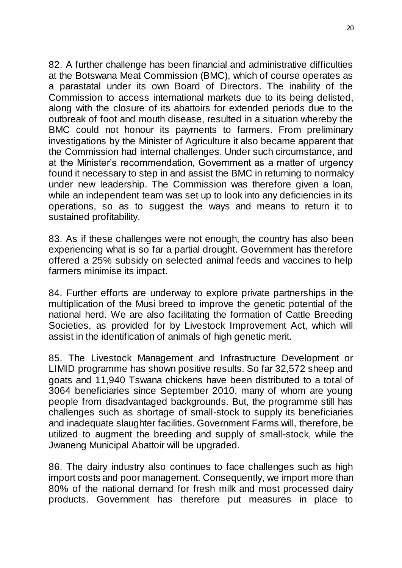82. A further challenge has been financial and administrative difficulties at the Botswana Meat Commission (BMC), which of course operates as a parastatal under its own Board of Directors. The inability of the Commission to access international markets due to its being delisted, along with the closure of its abattoirs for extended periods due to the outbreak of foot and mouth disease, resulted in a situation whereby the BMC could not honour its payments to farmers. From preliminary investigations by the Minister of Agriculture it also became apparent that the Commission had internal challenges. Under such circumstance, and at the Minister"s recommendation, Government as a matter of urgency found it necessary to step in and assist the BMC in returning to normalcy under new leadership. The Commission was therefore given a loan, while an independent team was set up to look into any deficiencies in its operations, so as to suggest the ways and means to return it to sustained profitability.

83. As if these challenges were not enough, the country has also been experiencing what is so far a partial drought. Government has therefore offered a 25% subsidy on selected animal feeds and vaccines to help farmers minimise its impact.

84. Further efforts are underway to explore private partnerships in the multiplication of the Musi breed to improve the genetic potential of the national herd. We are also facilitating the formation of Cattle Breeding Societies, as provided for by Livestock Improvement Act, which will assist in the identification of animals of high genetic merit.

85. The Livestock Management and Infrastructure Development or LIMID programme has shown positive results. So far 32,572 sheep and goats and 11,940 Tswana chickens have been distributed to a total of 3064 beneficiaries since September 2010, many of whom are young people from disadvantaged backgrounds. But, the programme still has challenges such as shortage of small-stock to supply its beneficiaries and inadequate slaughter facilities. Government Farms will, therefore, be utilized to augment the breeding and supply of small-stock, while the Jwaneng Municipal Abattoir will be upgraded.

86. The dairy industry also continues to face challenges such as high import costs and poor management. Consequently, we import more than 80% of the national demand for fresh milk and most processed dairy products. Government has therefore put measures in place to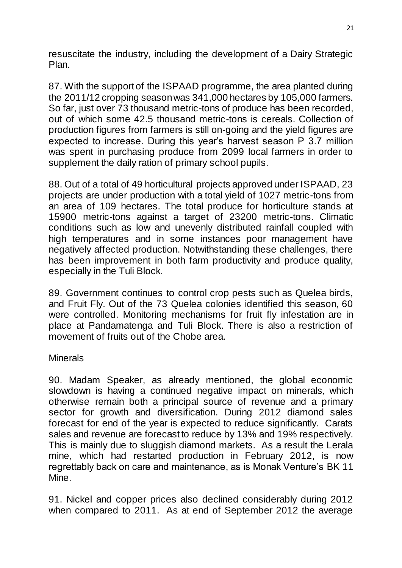resuscitate the industry, including the development of a Dairy Strategic Plan.

87. With the support of the ISPAAD programme, the area planted during the 2011/12 cropping season was 341,000 hectares by 105,000 farmers. So far, just over 73 thousand metric-tons of produce has been recorded, out of which some 42.5 thousand metric-tons is cereals. Collection of production figures from farmers is still on-going and the yield figures are expected to increase. During this year"s harvest season P 3.7 million was spent in purchasing produce from 2099 local farmers in order to supplement the daily ration of primary school pupils.

88. Out of a total of 49 horticultural projects approved under ISPAAD, 23 projects are under production with a total yield of 1027 metric-tons from an area of 109 hectares. The total produce for horticulture stands at 15900 metric-tons against a target of 23200 metric-tons. Climatic conditions such as low and unevenly distributed rainfall coupled with high temperatures and in some instances poor management have negatively affected production. Notwithstanding these challenges, there has been improvement in both farm productivity and produce quality, especially in the Tuli Block.

89. Government continues to control crop pests such as Quelea birds, and Fruit Fly. Out of the 73 Quelea colonies identified this season, 60 were controlled. Monitoring mechanisms for fruit fly infestation are in place at Pandamatenga and Tuli Block. There is also a restriction of movement of fruits out of the Chobe area.

#### **Minerals**

90. Madam Speaker, as already mentioned, the global economic slowdown is having a continued negative impact on minerals, which otherwise remain both a principal source of revenue and a primary sector for growth and diversification. During 2012 diamond sales forecast for end of the year is expected to reduce significantly. Carats sales and revenue are forecast to reduce by 13% and 19% respectively. This is mainly due to sluggish diamond markets. As a result the Lerala mine, which had restarted production in February 2012, is now regrettably back on care and maintenance, as is Monak Venture"s BK 11 Mine.

91. Nickel and copper prices also declined considerably during 2012 when compared to 2011. As at end of September 2012 the average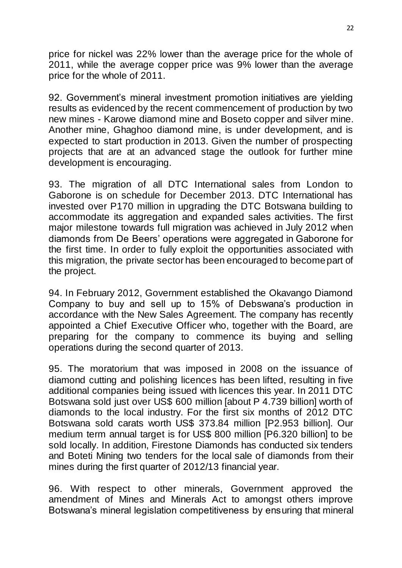price for nickel was 22% lower than the average price for the whole of 2011, while the average copper price was 9% lower than the average price for the whole of 2011.

92. Government's mineral investment promotion initiatives are yielding results as evidenced by the recent commencement of production by two new mines - Karowe diamond mine and Boseto copper and silver mine. Another mine, Ghaghoo diamond mine, is under development, and is expected to start production in 2013. Given the number of prospecting projects that are at an advanced stage the outlook for further mine development is encouraging.

93. The migration of all DTC International sales from London to Gaborone is on schedule for December 2013. DTC International has invested over P170 million in upgrading the DTC Botswana building to accommodate its aggregation and expanded sales activities. The first major milestone towards full migration was achieved in July 2012 when diamonds from De Beers" operations were aggregated in Gaborone for the first time. In order to fully exploit the opportunities associated with this migration, the private sector has been encouraged to become part of the project.

94. In February 2012, Government established the Okavango Diamond Company to buy and sell up to 15% of Debswana"s production in accordance with the New Sales Agreement. The company has recently appointed a Chief Executive Officer who, together with the Board, are preparing for the company to commence its buying and selling operations during the second quarter of 2013.

95. The moratorium that was imposed in 2008 on the issuance of diamond cutting and polishing licences has been lifted, resulting in five additional companies being issued with licences this year. In 2011 DTC Botswana sold just over US\$ 600 million [about P 4.739 billion] worth of diamonds to the local industry. For the first six months of 2012 DTC Botswana sold carats worth US\$ 373.84 million [P2.953 billion]. Our medium term annual target is for US\$ 800 million [P6.320 billion] to be sold locally. In addition, Firestone Diamonds has conducted six tenders and Boteti Mining two tenders for the local sale of diamonds from their mines during the first quarter of 2012/13 financial year.

96. With respect to other minerals, Government approved the amendment of Mines and Minerals Act to amongst others improve Botswana"s mineral legislation competitiveness by ensuring that mineral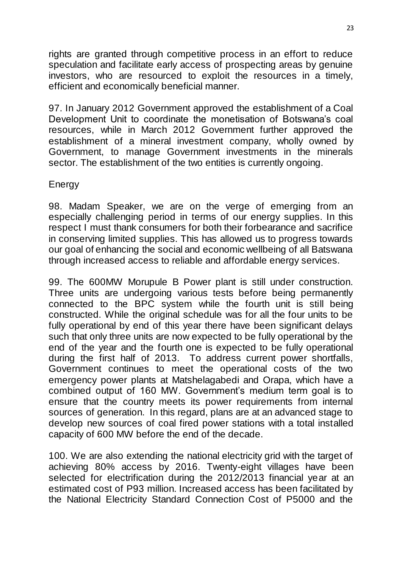rights are granted through competitive process in an effort to reduce speculation and facilitate early access of prospecting areas by genuine investors, who are resourced to exploit the resources in a timely, efficient and economically beneficial manner.

97. In January 2012 Government approved the establishment of a Coal Development Unit to coordinate the monetisation of Botswana"s coal resources, while in March 2012 Government further approved the establishment of a mineral investment company, wholly owned by Government, to manage Government investments in the minerals sector. The establishment of the two entities is currently ongoing.

### Energy

98. Madam Speaker, we are on the verge of emerging from an especially challenging period in terms of our energy supplies. In this respect I must thank consumers for both their forbearance and sacrifice in conserving limited supplies. This has allowed us to progress towards our goal of enhancing the social and economic wellbeing of all Batswana through increased access to reliable and affordable energy services.

99. The 600MW Morupule B Power plant is still under construction. Three units are undergoing various tests before being permanently connected to the BPC system while the fourth unit is still being constructed. While the original schedule was for all the four units to be fully operational by end of this year there have been significant delays such that only three units are now expected to be fully operational by the end of the year and the fourth one is expected to be fully operational during the first half of 2013. To address current power shortfalls, Government continues to meet the operational costs of the two emergency power plants at Matshelagabedi and Orapa, which have a combined output of 160 MW. Government's medium term goal is to ensure that the country meets its power requirements from internal sources of generation. In this regard, plans are at an advanced stage to develop new sources of coal fired power stations with a total installed capacity of 600 MW before the end of the decade.

100. We are also extending the national electricity grid with the target of achieving 80% access by 2016. Twenty-eight villages have been selected for electrification during the 2012/2013 financial year at an estimated cost of P93 million. Increased access has been facilitated by the National Electricity Standard Connection Cost of P5000 and the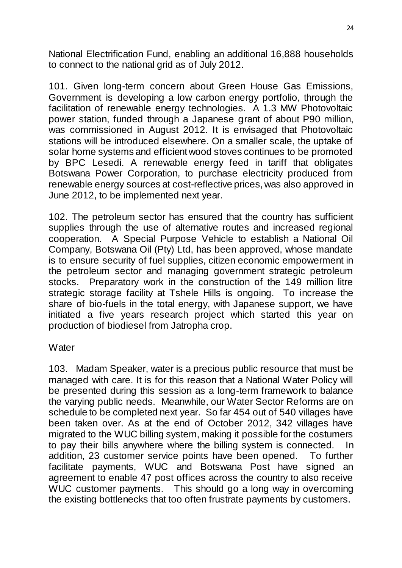National Electrification Fund, enabling an additional 16,888 households to connect to the national grid as of July 2012.

101. Given long-term concern about Green House Gas Emissions, Government is developing a low carbon energy portfolio, through the facilitation of renewable energy technologies. A 1.3 MW Photovoltaic power station, funded through a Japanese grant of about P90 million, was commissioned in August 2012. It is envisaged that Photovoltaic stations will be introduced elsewhere. On a smaller scale, the uptake of solar home systems and efficient wood stoves continues to be promoted by BPC Lesedi. A renewable energy feed in tariff that obligates Botswana Power Corporation, to purchase electricity produced from renewable energy sources at cost-reflective prices, was also approved in June 2012, to be implemented next year.

102. The petroleum sector has ensured that the country has sufficient supplies through the use of alternative routes and increased regional cooperation. A Special Purpose Vehicle to establish a National Oil Company, Botswana Oil (Pty) Ltd, has been approved, whose mandate is to ensure security of fuel supplies, citizen economic empowerment in the petroleum sector and managing government strategic petroleum stocks. Preparatory work in the construction of the 149 million litre strategic storage facility at Tshele Hills is ongoing. To increase the share of bio-fuels in the total energy, with Japanese support, we have initiated a five years research project which started this year on production of biodiesel from Jatropha crop.

#### **Water**

103. Madam Speaker, water is a precious public resource that must be managed with care. It is for this reason that a National Water Policy will be presented during this session as a long-term framework to balance the varying public needs. Meanwhile, our Water Sector Reforms are on schedule to be completed next year. So far 454 out of 540 villages have been taken over. As at the end of October 2012, 342 villages have migrated to the WUC billing system, making it possible for the costumers to pay their bills anywhere where the billing system is connected. In addition, 23 customer service points have been opened. To further facilitate payments, WUC and Botswana Post have signed an agreement to enable 47 post offices across the country to also receive WUC customer payments. This should go a long way in overcoming the existing bottlenecks that too often frustrate payments by customers.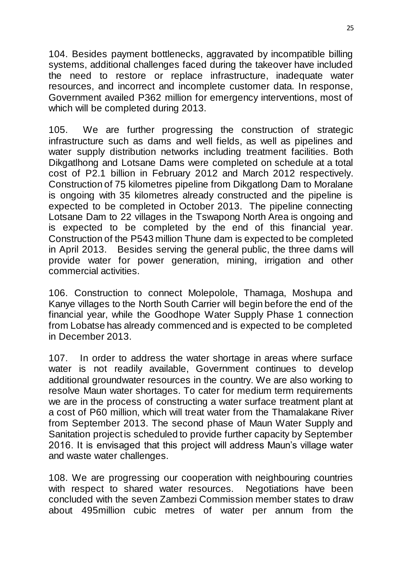104. Besides payment bottlenecks, aggravated by incompatible billing systems, additional challenges faced during the takeover have included the need to restore or replace infrastructure, inadequate water resources, and incorrect and incomplete customer data. In response, Government availed P362 million for emergency interventions, most of which will be completed during 2013.

105. We are further progressing the construction of strategic infrastructure such as dams and well fields, as well as pipelines and water supply distribution networks including treatment facilities. Both Dikgatlhong and Lotsane Dams were completed on schedule at a total cost of P2.1 billion in February 2012 and March 2012 respectively. Construction of 75 kilometres pipeline from Dikgatlong Dam to Moralane is ongoing with 35 kilometres already constructed and the pipeline is expected to be completed in October 2013. The pipeline connecting Lotsane Dam to 22 villages in the Tswapong North Area is ongoing and is expected to be completed by the end of this financial year. Construction of the P543 million Thune dam is expected to be completed in April 2013. Besides serving the general public, the three dams will provide water for power generation, mining, irrigation and other commercial activities.

106. Construction to connect Molepolole, Thamaga, Moshupa and Kanye villages to the North South Carrier will begin before the end of the financial year, while the Goodhope Water Supply Phase 1 connection from Lobatse has already commenced and is expected to be completed in December 2013.

107. In order to address the water shortage in areas where surface water is not readily available, Government continues to develop additional groundwater resources in the country. We are also working to resolve Maun water shortages. To cater for medium term requirements we are in the process of constructing a water surface treatment plant at a cost of P60 million, which will treat water from the Thamalakane River from September 2013. The second phase of Maun Water Supply and Sanitation project is scheduled to provide further capacity by September 2016. It is envisaged that this project will address Maun"s village water and waste water challenges.

108. We are progressing our cooperation with neighbouring countries with respect to shared water resources. Negotiations have been concluded with the seven Zambezi Commission member states to draw about 495million cubic metres of water per annum from the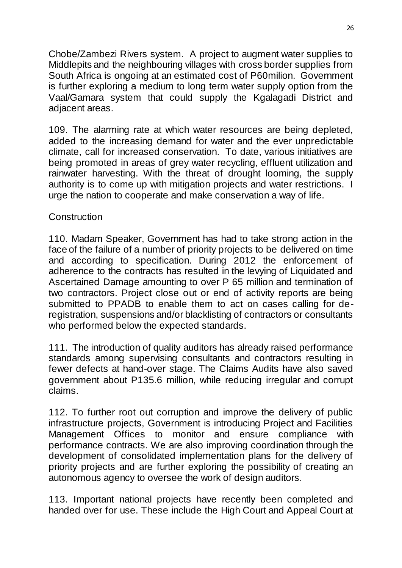Chobe/Zambezi Rivers system. A project to augment water supplies to Middlepits and the neighbouring villages with cross border supplies from South Africa is ongoing at an estimated cost of P60milion. Government is further exploring a medium to long term water supply option from the Vaal/Gamara system that could supply the Kgalagadi District and adjacent areas.

109. The alarming rate at which water resources are being depleted, added to the increasing demand for water and the ever unpredictable climate, call for increased conservation. To date, various initiatives are being promoted in areas of grey water recycling, effluent utilization and rainwater harvesting. With the threat of drought looming, the supply authority is to come up with mitigation projects and water restrictions. I urge the nation to cooperate and make conservation a way of life.

### **Construction**

110. Madam Speaker, Government has had to take strong action in the face of the failure of a number of priority projects to be delivered on time and according to specification. During 2012 the enforcement of adherence to the contracts has resulted in the levying of Liquidated and Ascertained Damage amounting to over P 65 million and termination of two contractors. Project close out or end of activity reports are being submitted to PPADB to enable them to act on cases calling for deregistration, suspensions and/or blacklisting of contractors or consultants who performed below the expected standards.

111. The introduction of quality auditors has already raised performance standards among supervising consultants and contractors resulting in fewer defects at hand-over stage. The Claims Audits have also saved government about P135.6 million, while reducing irregular and corrupt claims.

112. To further root out corruption and improve the delivery of public infrastructure projects, Government is introducing Project and Facilities Management Offices to monitor and ensure compliance with performance contracts. We are also improving coordination through the development of consolidated implementation plans for the delivery of priority projects and are further exploring the possibility of creating an autonomous agency to oversee the work of design auditors.

113. Important national projects have recently been completed and handed over for use. These include the High Court and Appeal Court at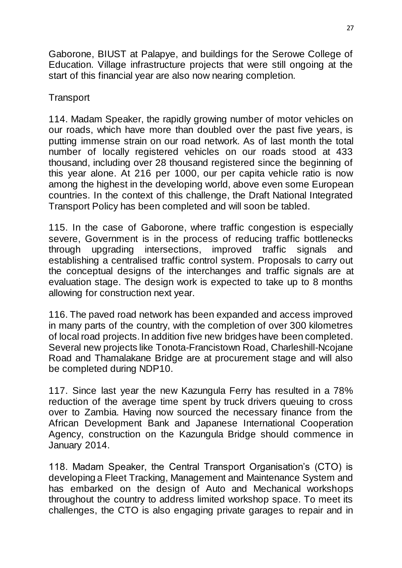Gaborone, BIUST at Palapye, and buildings for the Serowe College of Education. Village infrastructure projects that were still ongoing at the start of this financial year are also now nearing completion.

# **Transport**

114. Madam Speaker, the rapidly growing number of motor vehicles on our roads, which have more than doubled over the past five years, is putting immense strain on our road network. As of last month the total number of locally registered vehicles on our roads stood at 433 thousand, including over 28 thousand registered since the beginning of this year alone. At 216 per 1000, our per capita vehicle ratio is now among the highest in the developing world, above even some European countries. In the context of this challenge, the Draft National Integrated Transport Policy has been completed and will soon be tabled.

115. In the case of Gaborone, where traffic congestion is especially severe, Government is in the process of reducing traffic bottlenecks through upgrading intersections, improved traffic signals and establishing a centralised traffic control system. Proposals to carry out the conceptual designs of the interchanges and traffic signals are at evaluation stage. The design work is expected to take up to 8 months allowing for construction next year.

116. The paved road network has been expanded and access improved in many parts of the country, with the completion of over 300 kilometres of local road projects. In addition five new bridges have been completed. Several new projects like Tonota-Francistown Road, Charleshill-Ncojane Road and Thamalakane Bridge are at procurement stage and will also be completed during NDP10.

117. Since last year the new Kazungula Ferry has resulted in a 78% reduction of the average time spent by truck drivers queuing to cross over to Zambia. Having now sourced the necessary finance from the African Development Bank and Japanese International Cooperation Agency, construction on the Kazungula Bridge should commence in January 2014.

118. Madam Speaker, the Central Transport Organisation's (CTO) is developing a Fleet Tracking, Management and Maintenance System and has embarked on the design of Auto and Mechanical workshops throughout the country to address limited workshop space. To meet its challenges, the CTO is also engaging private garages to repair and in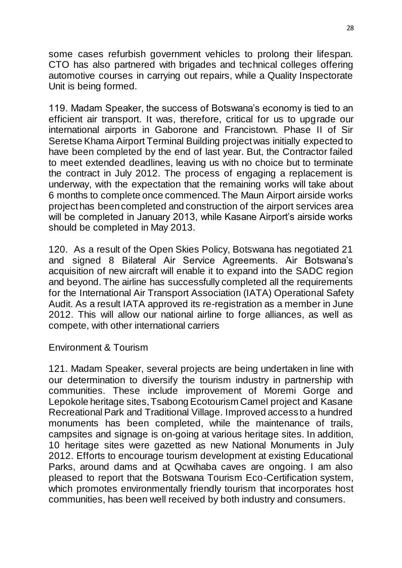some cases refurbish government vehicles to prolong their lifespan. CTO has also partnered with brigades and technical colleges offering automotive courses in carrying out repairs, while a Quality Inspectorate Unit is being formed.

119. Madam Speaker, the success of Botswana"s economy is tied to an efficient air transport. It was, therefore, critical for us to upgrade our international airports in Gaborone and Francistown. Phase II of Sir Seretse Khama Airport Terminal Building project was initially expected to have been completed by the end of last year. But, the Contractor failed to meet extended deadlines, leaving us with no choice but to terminate the contract in July 2012. The process of engaging a replacement is underway, with the expectation that the remaining works will take about 6 months to complete once commenced. The Maun Airport airside works project has been completed and construction of the airport services area will be completed in January 2013, while Kasane Airport's airside works should be completed in May 2013.

120. As a result of the Open Skies Policy, Botswana has negotiated 21 and signed 8 Bilateral Air Service Agreements. Air Botswana"s acquisition of new aircraft will enable it to expand into the SADC region and beyond. The airline has successfully completed all the requirements for the International Air Transport Association (IATA) Operational Safety Audit. As a result IATA approved its re-registration as a member in June 2012. This will allow our national airline to forge alliances, as well as compete, with other international carriers

#### Environment & Tourism

121. Madam Speaker, several projects are being undertaken in line with our determination to diversify the tourism industry in partnership with communities. These include improvement of Moremi Gorge and Lepokole heritage sites, Tsabong Ecotourism Camel project and Kasane Recreational Park and Traditional Village. Improved access to a hundred monuments has been completed, while the maintenance of trails, campsites and signage is on-going at various heritage sites. In addition, 10 heritage sites were gazetted as new National Monuments in July 2012. Efforts to encourage tourism development at existing Educational Parks, around dams and at Qcwihaba caves are ongoing. I am also pleased to report that the Botswana Tourism Eco-Certification system, which promotes environmentally friendly tourism that incorporates host communities, has been well received by both industry and consumers.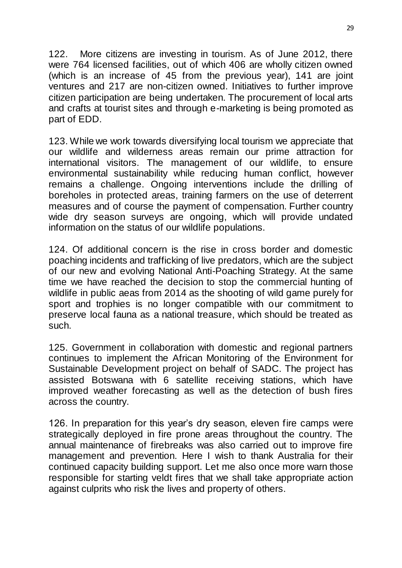122. More citizens are investing in tourism. As of June 2012, there were 764 licensed facilities, out of which 406 are wholly citizen owned (which is an increase of 45 from the previous year), 141 are joint ventures and 217 are non-citizen owned. Initiatives to further improve citizen participation are being undertaken. The procurement of local arts and crafts at tourist sites and through e-marketing is being promoted as part of EDD.

123. While we work towards diversifying local tourism we appreciate that our wildlife and wilderness areas remain our prime attraction for international visitors. The management of our wildlife, to ensure environmental sustainability while reducing human conflict, however remains a challenge. Ongoing interventions include the drilling of boreholes in protected areas, training farmers on the use of deterrent measures and of course the payment of compensation. Further country wide dry season surveys are ongoing, which will provide undated information on the status of our wildlife populations.

124. Of additional concern is the rise in cross border and domestic poaching incidents and trafficking of live predators, which are the subject of our new and evolving National Anti-Poaching Strategy. At the same time we have reached the decision to stop the commercial hunting of wildlife in public aeas from 2014 as the shooting of wild game purely for sport and trophies is no longer compatible with our commitment to preserve local fauna as a national treasure, which should be treated as such.

125. Government in collaboration with domestic and regional partners continues to implement the African Monitoring of the Environment for Sustainable Development project on behalf of SADC. The project has assisted Botswana with 6 satellite receiving stations, which have improved weather forecasting as well as the detection of bush fires across the country.

126. In preparation for this year"s dry season, eleven fire camps were strategically deployed in fire prone areas throughout the country. The annual maintenance of firebreaks was also carried out to improve fire management and prevention. Here I wish to thank Australia for their continued capacity building support. Let me also once more warn those responsible for starting veldt fires that we shall take appropriate action against culprits who risk the lives and property of others.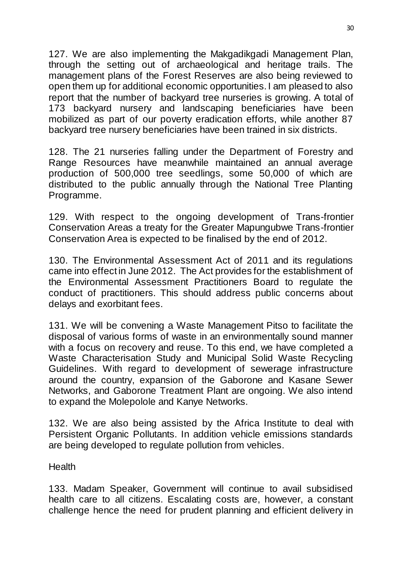127. We are also implementing the Makgadikgadi Management Plan, through the setting out of archaeological and heritage trails. The management plans of the Forest Reserves are also being reviewed to open them up for additional economic opportunities. I am pleased to also report that the number of backyard tree nurseries is growing. A total of 173 backyard nursery and landscaping beneficiaries have been mobilized as part of our poverty eradication efforts, while another 87 backyard tree nursery beneficiaries have been trained in six districts.

128. The 21 nurseries falling under the Department of Forestry and Range Resources have meanwhile maintained an annual average production of 500,000 tree seedlings, some 50,000 of which are distributed to the public annually through the National Tree Planting Programme.

129. With respect to the ongoing development of Trans-frontier Conservation Areas a treaty for the Greater Mapungubwe Trans-frontier Conservation Area is expected to be finalised by the end of 2012.

130. The Environmental Assessment Act of 2011 and its regulations came into effect in June 2012. The Act provides for the establishment of the Environmental Assessment Practitioners Board to regulate the conduct of practitioners. This should address public concerns about delays and exorbitant fees.

131. We will be convening a Waste Management Pitso to facilitate the disposal of various forms of waste in an environmentally sound manner with a focus on recovery and reuse. To this end, we have completed a Waste Characterisation Study and Municipal Solid Waste Recycling Guidelines. With regard to development of sewerage infrastructure around the country, expansion of the Gaborone and Kasane Sewer Networks, and Gaborone Treatment Plant are ongoing. We also intend to expand the Molepolole and Kanye Networks.

132. We are also being assisted by the Africa Institute to deal with Persistent Organic Pollutants. In addition vehicle emissions standards are being developed to regulate pollution from vehicles.

**Health** 

133. Madam Speaker, Government will continue to avail subsidised health care to all citizens. Escalating costs are, however, a constant challenge hence the need for prudent planning and efficient delivery in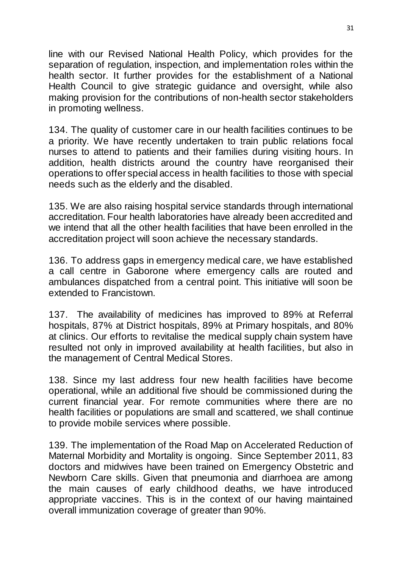line with our Revised National Health Policy, which provides for the separation of regulation, inspection, and implementation roles within the health sector. It further provides for the establishment of a National Health Council to give strategic guidance and oversight, while also making provision for the contributions of non-health sector stakeholders in promoting wellness.

134. The quality of customer care in our health facilities continues to be a priority. We have recently undertaken to train public relations focal nurses to attend to patients and their families during visiting hours. In addition, health districts around the country have reorganised their operations to offer special access in health facilities to those with special needs such as the elderly and the disabled.

135. We are also raising hospital service standards through international accreditation. Four health laboratories have already been accredited and we intend that all the other health facilities that have been enrolled in the accreditation project will soon achieve the necessary standards.

136. To address gaps in emergency medical care, we have established a call centre in Gaborone where emergency calls are routed and ambulances dispatched from a central point. This initiative will soon be extended to Francistown.

137. The availability of medicines has improved to 89% at Referral hospitals, 87% at District hospitals, 89% at Primary hospitals, and 80% at clinics. Our efforts to revitalise the medical supply chain system have resulted not only in improved availability at health facilities, but also in the management of Central Medical Stores.

138. Since my last address four new health facilities have become operational, while an additional five should be commissioned during the current financial year. For remote communities where there are no health facilities or populations are small and scattered, we shall continue to provide mobile services where possible.

139. The implementation of the Road Map on Accelerated Reduction of Maternal Morbidity and Mortality is ongoing. Since September 2011, 83 doctors and midwives have been trained on Emergency Obstetric and Newborn Care skills. Given that pneumonia and diarrhoea are among the main causes of early childhood deaths, we have introduced appropriate vaccines. This is in the context of our having maintained overall immunization coverage of greater than 90%.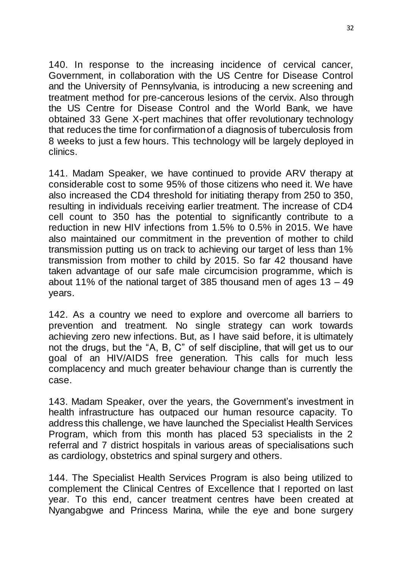140. In response to the increasing incidence of cervical cancer, Government, in collaboration with the US Centre for Disease Control and the University of Pennsylvania, is introducing a new screening and treatment method for pre-cancerous lesions of the cervix. Also through the US Centre for Disease Control and the World Bank, we have obtained 33 Gene X-pert machines that offer revolutionary technology that reduces the time for confirmation of a diagnosis of tuberculosis from 8 weeks to just a few hours. This technology will be largely deployed in clinics.

141. Madam Speaker, we have continued to provide ARV therapy at considerable cost to some 95% of those citizens who need it. We have also increased the CD4 threshold for initiating therapy from 250 to 350, resulting in individuals receiving earlier treatment. The increase of CD4 cell count to 350 has the potential to significantly contribute to a reduction in new HIV infections from 1.5% to 0.5% in 2015. We have also maintained our commitment in the prevention of mother to child transmission putting us on track to achieving our target of less than 1% transmission from mother to child by 2015. So far 42 thousand have taken advantage of our safe male circumcision programme, which is about 11% of the national target of 385 thousand men of ages 13 – 49 years.

142. As a country we need to explore and overcome all barriers to prevention and treatment. No single strategy can work towards achieving zero new infections. But, as I have said before, it is ultimately not the drugs, but the "A, B, C" of self discipline, that will get us to our goal of an HIV/AIDS free generation. This calls for much less complacency and much greater behaviour change than is currently the case.

143. Madam Speaker, over the years, the Government's investment in health infrastructure has outpaced our human resource capacity. To address this challenge, we have launched the Specialist Health Services Program, which from this month has placed 53 specialists in the 2 referral and 7 district hospitals in various areas of specialisations such as cardiology, obstetrics and spinal surgery and others.

144. The Specialist Health Services Program is also being utilized to complement the Clinical Centres of Excellence that I reported on last year. To this end, cancer treatment centres have been created at Nyangabgwe and Princess Marina, while the eye and bone surgery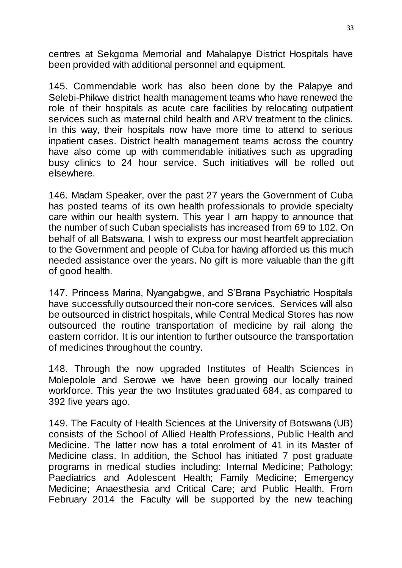centres at Sekgoma Memorial and Mahalapye District Hospitals have been provided with additional personnel and equipment.

145. Commendable work has also been done by the Palapye and Selebi-Phikwe district health management teams who have renewed the role of their hospitals as acute care facilities by relocating outpatient services such as maternal child health and ARV treatment to the clinics. In this way, their hospitals now have more time to attend to serious inpatient cases. District health management teams across the country have also come up with commendable initiatives such as upgrading busy clinics to 24 hour service. Such initiatives will be rolled out elsewhere.

146. Madam Speaker, over the past 27 years the Government of Cuba has posted teams of its own health professionals to provide specialty care within our health system. This year I am happy to announce that the number of such Cuban specialists has increased from 69 to 102. On behalf of all Batswana, I wish to express our most heartfelt appreciation to the Government and people of Cuba for having afforded us this much needed assistance over the years. No gift is more valuable than the gift of good health.

147. Princess Marina, Nyangabgwe, and S"Brana Psychiatric Hospitals have successfully outsourced their non-core services. Services will also be outsourced in district hospitals, while Central Medical Stores has now outsourced the routine transportation of medicine by rail along the eastern corridor. It is our intention to further outsource the transportation of medicines throughout the country.

148. Through the now upgraded Institutes of Health Sciences in Molepolole and Serowe we have been growing our locally trained workforce. This year the two Institutes graduated 684, as compared to 392 five years ago.

149. The Faculty of Health Sciences at the University of Botswana (UB) consists of the School of Allied Health Professions, Public Health and Medicine. The latter now has a total enrolment of 41 in its Master of Medicine class. In addition, the School has initiated 7 post graduate programs in medical studies including: Internal Medicine; Pathology; Paediatrics and Adolescent Health; Family Medicine; Emergency Medicine; Anaesthesia and Critical Care; and Public Health. From February 2014 the Faculty will be supported by the new teaching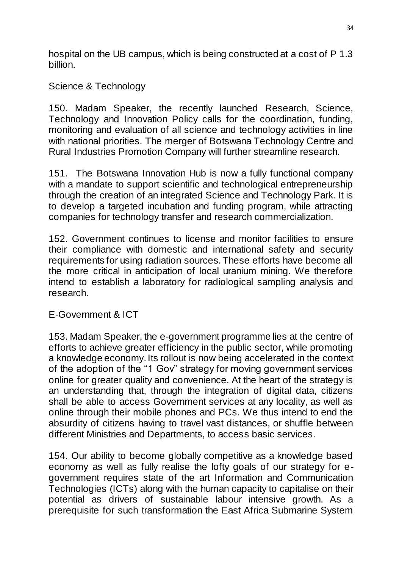hospital on the UB campus, which is being constructed at a cost of P 1.3 billion.

Science & Technology

150. Madam Speaker, the recently launched Research, Science, Technology and Innovation Policy calls for the coordination, funding, monitoring and evaluation of all science and technology activities in line with national priorities. The merger of Botswana Technology Centre and Rural Industries Promotion Company will further streamline research.

151. The Botswana Innovation Hub is now a fully functional company with a mandate to support scientific and technological entrepreneurship through the creation of an integrated Science and Technology Park. It is to develop a targeted incubation and funding program, while attracting companies for technology transfer and research commercialization.

152. Government continues to license and monitor facilities to ensure their compliance with domestic and international safety and security requirements for using radiation sources. These efforts have become all the more critical in anticipation of local uranium mining. We therefore intend to establish a laboratory for radiological sampling analysis and research.

E-Government & ICT

153. Madam Speaker, the e-government programme lies at the centre of efforts to achieve greater efficiency in the public sector, while promoting a knowledge economy. Its rollout is now being accelerated in the context of the adoption of the "1 Gov" strategy for moving government services online for greater quality and convenience. At the heart of the strategy is an understanding that, through the integration of digital data, citizens shall be able to access Government services at any locality, as well as online through their mobile phones and PCs. We thus intend to end the absurdity of citizens having to travel vast distances, or shuffle between different Ministries and Departments, to access basic services.

154. Our ability to become globally competitive as a knowledge based economy as well as fully realise the lofty goals of our strategy for egovernment requires state of the art Information and Communication Technologies (ICTs) along with the human capacity to capitalise on their potential as drivers of sustainable labour intensive growth. As a prerequisite for such transformation the East Africa Submarine System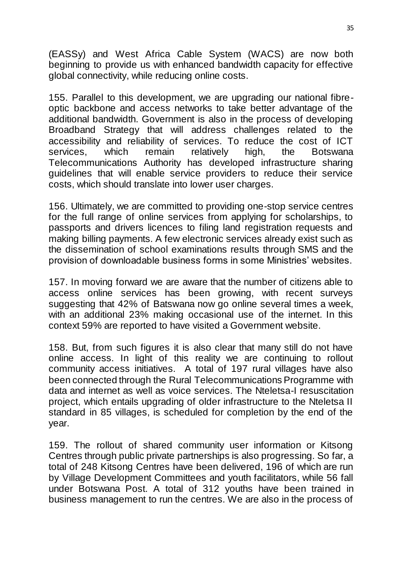(EASSy) and West Africa Cable System (WACS) are now both beginning to provide us with enhanced bandwidth capacity for effective global connectivity, while reducing online costs.

155. Parallel to this development, we are upgrading our national fibreoptic backbone and access networks to take better advantage of the additional bandwidth. Government is also in the process of developing Broadband Strategy that will address challenges related to the accessibility and reliability of services. To reduce the cost of ICT services, which remain relatively high, the Botswana Telecommunications Authority has developed infrastructure sharing guidelines that will enable service providers to reduce their service costs, which should translate into lower user charges.

156. Ultimately, we are committed to providing one-stop service centres for the full range of online services from applying for scholarships, to passports and drivers licences to filing land registration requests and making billing payments. A few electronic services already exist such as the dissemination of school examinations results through SMS and the provision of downloadable business forms in some Ministries" websites.

157. In moving forward we are aware that the number of citizens able to access online services has been growing, with recent surveys suggesting that 42% of Batswana now go online several times a week, with an additional 23% making occasional use of the internet. In this context 59% are reported to have visited a Government website.

158. But, from such figures it is also clear that many still do not have online access. In light of this reality we are continuing to rollout community access initiatives. A total of 197 rural villages have also been connected through the Rural Telecommunications Programme with data and internet as well as voice services. The Nteletsa-I resuscitation project, which entails upgrading of older infrastructure to the Nteletsa II standard in 85 villages, is scheduled for completion by the end of the year.

159. The rollout of shared community user information or Kitsong Centres through public private partnerships is also progressing. So far, a total of 248 Kitsong Centres have been delivered, 196 of which are run by Village Development Committees and youth facilitators, while 56 fall under Botswana Post. A total of 312 youths have been trained in business management to run the centres. We are also in the process of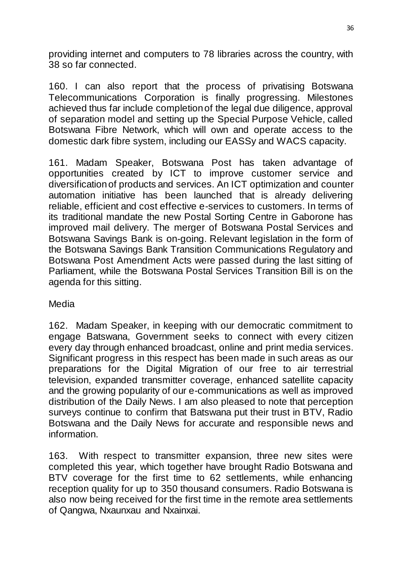providing internet and computers to 78 libraries across the country, with 38 so far connected.

160. I can also report that the process of privatising Botswana Telecommunications Corporation is finally progressing. Milestones achieved thus far include completion of the legal due diligence, approval of separation model and setting up the Special Purpose Vehicle, called Botswana Fibre Network, which will own and operate access to the domestic dark fibre system, including our EASSy and WACS capacity.

161. Madam Speaker, Botswana Post has taken advantage of opportunities created by ICT to improve customer service and diversification of products and services. An ICT optimization and counter automation initiative has been launched that is already delivering reliable, efficient and cost effective e-services to customers. In terms of its traditional mandate the new Postal Sorting Centre in Gaborone has improved mail delivery. The merger of Botswana Postal Services and Botswana Savings Bank is on-going. Relevant legislation in the form of the Botswana Savings Bank Transition Communications Regulatory and Botswana Post Amendment Acts were passed during the last sitting of Parliament, while the Botswana Postal Services Transition Bill is on the agenda for this sitting.

Media

162. Madam Speaker, in keeping with our democratic commitment to engage Batswana, Government seeks to connect with every citizen every day through enhanced broadcast, online and print media services. Significant progress in this respect has been made in such areas as our preparations for the Digital Migration of our free to air terrestrial television, expanded transmitter coverage, enhanced satellite capacity and the growing popularity of our e-communications as well as improved distribution of the Daily News. I am also pleased to note that perception surveys continue to confirm that Batswana put their trust in BTV, Radio Botswana and the Daily News for accurate and responsible news and information.

163. With respect to transmitter expansion, three new sites were completed this year, which together have brought Radio Botswana and BTV coverage for the first time to 62 settlements, while enhancing reception quality for up to 350 thousand consumers. Radio Botswana is also now being received for the first time in the remote area settlements of Qangwa, Nxaunxau and Nxainxai.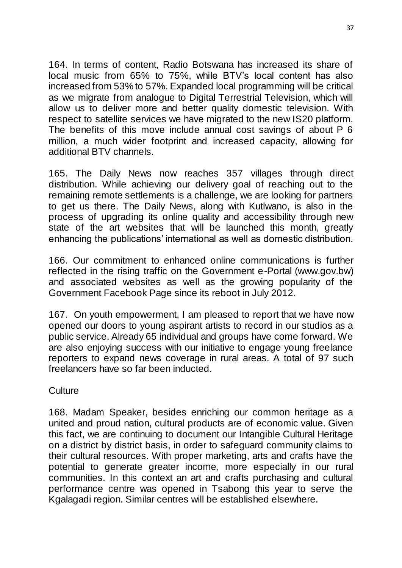164. In terms of content, Radio Botswana has increased its share of local music from 65% to 75%, while BTV"s local content has also increased from 53% to 57%. Expanded local programming will be critical as we migrate from analogue to Digital Terrestrial Television, which will allow us to deliver more and better quality domestic television. With respect to satellite services we have migrated to the new IS20 platform. The benefits of this move include annual cost savings of about P 6 million, a much wider footprint and increased capacity, allowing for additional BTV channels.

165. The Daily News now reaches 357 villages through direct distribution. While achieving our delivery goal of reaching out to the remaining remote settlements is a challenge, we are looking for partners to get us there. The Daily News, along with Kutlwano, is also in the process of upgrading its online quality and accessibility through new state of the art websites that will be launched this month, greatly enhancing the publications" international as well as domestic distribution.

166. Our commitment to enhanced online communications is further reflected in the rising traffic on the Government e-Portal (www.gov.bw) and associated websites as well as the growing popularity of the Government Facebook Page since its reboot in July 2012.

167. On youth empowerment, I am pleased to report that we have now opened our doors to young aspirant artists to record in our studios as a public service. Already 65 individual and groups have come forward. We are also enjoying success with our initiative to engage young freelance reporters to expand news coverage in rural areas. A total of 97 such freelancers have so far been inducted.

### **Culture**

168. Madam Speaker, besides enriching our common heritage as a united and proud nation, cultural products are of economic value. Given this fact, we are continuing to document our Intangible Cultural Heritage on a district by district basis, in order to safeguard community claims to their cultural resources. With proper marketing, arts and crafts have the potential to generate greater income, more especially in our rural communities. In this context an art and crafts purchasing and cultural performance centre was opened in Tsabong this year to serve the Kgalagadi region. Similar centres will be established elsewhere.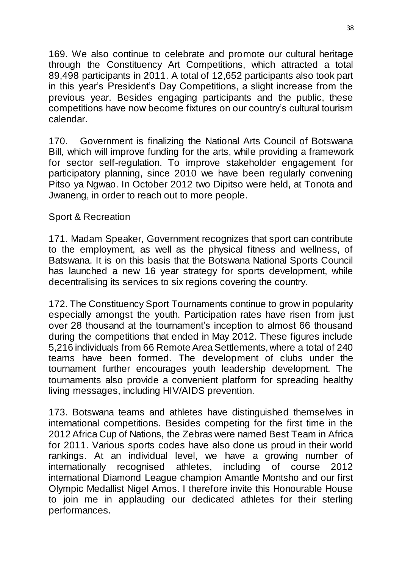169. We also continue to celebrate and promote our cultural heritage through the Constituency Art Competitions, which attracted a total 89,498 participants in 2011. A total of 12,652 participants also took part in this year"s President"s Day Competitions, a slight increase from the previous year. Besides engaging participants and the public, these competitions have now become fixtures on our country"s cultural tourism calendar.

170. Government is finalizing the National Arts Council of Botswana Bill, which will improve funding for the arts, while providing a framework for sector self-regulation. To improve stakeholder engagement for participatory planning, since 2010 we have been regularly convening Pitso ya Ngwao. In October 2012 two Dipitso were held, at Tonota and Jwaneng, in order to reach out to more people.

### Sport & Recreation

171. Madam Speaker, Government recognizes that sport can contribute to the employment, as well as the physical fitness and wellness, of Batswana. It is on this basis that the Botswana National Sports Council has launched a new 16 year strategy for sports development, while decentralising its services to six regions covering the country.

172. The Constituency Sport Tournaments continue to grow in popularity especially amongst the youth. Participation rates have risen from just over 28 thousand at the tournament"s inception to almost 66 thousand during the competitions that ended in May 2012. These figures include 5,216 individuals from 66 Remote Area Settlements, where a total of 240 teams have been formed. The development of clubs under the tournament further encourages youth leadership development. The tournaments also provide a convenient platform for spreading healthy living messages, including HIV/AIDS prevention.

173. Botswana teams and athletes have distinguished themselves in international competitions. Besides competing for the first time in the 2012 Africa Cup of Nations, the Zebras were named Best Team in Africa for 2011. Various sports codes have also done us proud in their world rankings. At an individual level, we have a growing number of internationally recognised athletes, including of course 2012 international Diamond League champion Amantle Montsho and our first Olympic Medallist Nigel Amos. I therefore invite this Honourable House to join me in applauding our dedicated athletes for their sterling performances.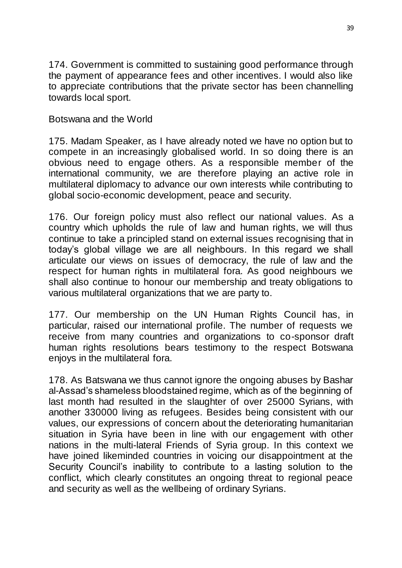174. Government is committed to sustaining good performance through the payment of appearance fees and other incentives. I would also like to appreciate contributions that the private sector has been channelling towards local sport.

Botswana and the World

175. Madam Speaker, as I have already noted we have no option but to compete in an increasingly globalised world. In so doing there is an obvious need to engage others. As a responsible member of the international community, we are therefore playing an active role in multilateral diplomacy to advance our own interests while contributing to global socio-economic development, peace and security.

176. Our foreign policy must also reflect our national values. As a country which upholds the rule of law and human rights, we will thus continue to take a principled stand on external issues recognising that in today"s global village we are all neighbours. In this regard we shall articulate our views on issues of democracy, the rule of law and the respect for human rights in multilateral fora. As good neighbours we shall also continue to honour our membership and treaty obligations to various multilateral organizations that we are party to.

177. Our membership on the UN Human Rights Council has, in particular, raised our international profile. The number of requests we receive from many countries and organizations to co-sponsor draft human rights resolutions bears testimony to the respect Botswana enjoys in the multilateral fora.

178. As Batswana we thus cannot ignore the ongoing abuses by Bashar al-Assad"s shameless bloodstained regime, which as of the beginning of last month had resulted in the slaughter of over 25000 Syrians, with another 330000 living as refugees. Besides being consistent with our values, our expressions of concern about the deteriorating humanitarian situation in Syria have been in line with our engagement with other nations in the multi-lateral Friends of Syria group. In this context we have joined likeminded countries in voicing our disappointment at the Security Council"s inability to contribute to a lasting solution to the conflict, which clearly constitutes an ongoing threat to regional peace and security as well as the wellbeing of ordinary Syrians.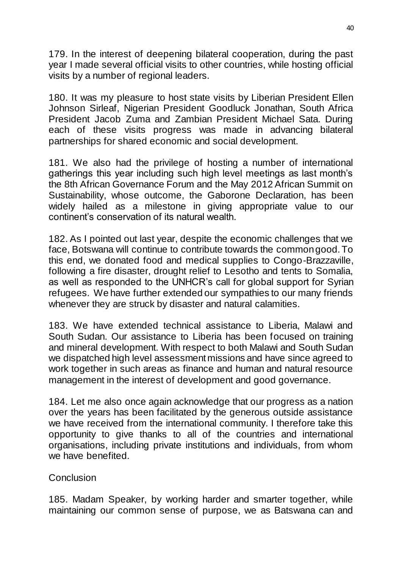179. In the interest of deepening bilateral cooperation, during the past year I made several official visits to other countries, while hosting official visits by a number of regional leaders.

180. It was my pleasure to host state visits by Liberian President Ellen Johnson Sirleaf, Nigerian President Goodluck Jonathan, South Africa President Jacob Zuma and Zambian President Michael Sata. During each of these visits progress was made in advancing bilateral partnerships for shared economic and social development.

181. We also had the privilege of hosting a number of international gatherings this year including such high level meetings as last month"s the 8th African Governance Forum and the May 2012 African Summit on Sustainability, whose outcome, the Gaborone Declaration, has been widely hailed as a milestone in giving appropriate value to our continent"s conservation of its natural wealth.

182. As I pointed out last year, despite the economic challenges that we face, Botswana will continue to contribute towards the common good. To this end, we donated food and medical supplies to Congo-Brazzaville, following a fire disaster, drought relief to Lesotho and tents to Somalia, as well as responded to the UNHCR"s call for global support for Syrian refugees. We have further extended our sympathies to our many friends whenever they are struck by disaster and natural calamities.

183. We have extended technical assistance to Liberia, Malawi and South Sudan. Our assistance to Liberia has been focused on training and mineral development. With respect to both Malawi and South Sudan we dispatched high level assessment missions and have since agreed to work together in such areas as finance and human and natural resource management in the interest of development and good governance.

184. Let me also once again acknowledge that our progress as a nation over the years has been facilitated by the generous outside assistance we have received from the international community. I therefore take this opportunity to give thanks to all of the countries and international organisations, including private institutions and individuals, from whom we have benefited.

### **Conclusion**

185. Madam Speaker, by working harder and smarter together, while maintaining our common sense of purpose, we as Batswana can and